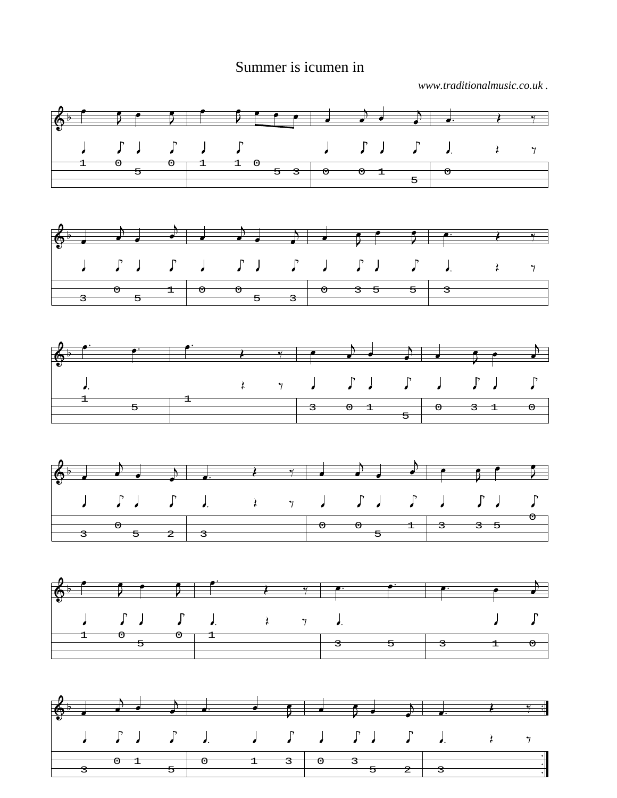## Summer is icumen in

*www.traditionalmusic.co.uk .*